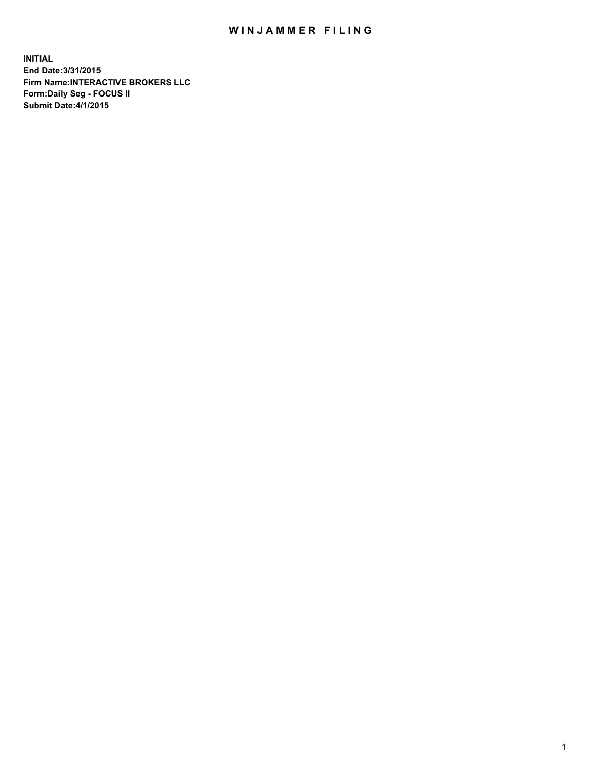## WIN JAMMER FILING

**INITIAL End Date:3/31/2015 Firm Name:INTERACTIVE BROKERS LLC Form:Daily Seg - FOCUS II Submit Date:4/1/2015**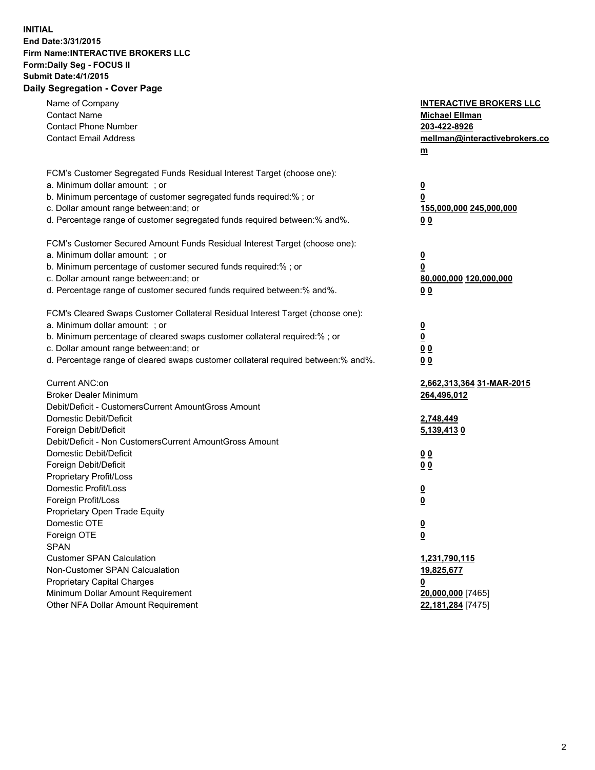## **INITIAL End Date:3/31/2015 Firm Name:INTERACTIVE BROKERS LLC Form:Daily Seg - FOCUS II Submit Date:4/1/2015 Daily Segregation - Cover Page**

| Name of Company<br><b>Contact Name</b><br><b>Contact Phone Number</b><br><b>Contact Email Address</b>                                                                                                                                                                                                                          | <b>INTERACTIVE BROKERS LLC</b><br><b>Michael Ellman</b><br>203-422-8926<br>mellman@interactivebrokers.co<br>m |
|--------------------------------------------------------------------------------------------------------------------------------------------------------------------------------------------------------------------------------------------------------------------------------------------------------------------------------|---------------------------------------------------------------------------------------------------------------|
| FCM's Customer Segregated Funds Residual Interest Target (choose one):<br>a. Minimum dollar amount: ; or<br>b. Minimum percentage of customer segregated funds required:% ; or<br>c. Dollar amount range between: and; or<br>d. Percentage range of customer segregated funds required between:% and%.                         | <u>0</u><br>0<br>155,000,000 245,000,000<br>00                                                                |
| FCM's Customer Secured Amount Funds Residual Interest Target (choose one):<br>a. Minimum dollar amount: ; or<br>b. Minimum percentage of customer secured funds required:% ; or<br>c. Dollar amount range between: and; or<br>d. Percentage range of customer secured funds required between:% and%.                           | $\overline{\mathbf{0}}$<br>0<br>80,000,000 120,000,000<br>0 <sub>0</sub>                                      |
| FCM's Cleared Swaps Customer Collateral Residual Interest Target (choose one):<br>a. Minimum dollar amount: ; or<br>b. Minimum percentage of cleared swaps customer collateral required:% ; or<br>c. Dollar amount range between: and; or<br>d. Percentage range of cleared swaps customer collateral required between:% and%. | $\overline{\mathbf{0}}$<br><u>0</u><br>0 <sub>0</sub><br>0 <sub>0</sub>                                       |
| Current ANC:on<br><b>Broker Dealer Minimum</b><br>Debit/Deficit - CustomersCurrent AmountGross Amount<br>Domestic Debit/Deficit<br>Foreign Debit/Deficit                                                                                                                                                                       | 2,662,313,364 31-MAR-2015<br>264,496,012<br>2,748,449<br>5,139,4130                                           |
| Debit/Deficit - Non CustomersCurrent AmountGross Amount<br>Domestic Debit/Deficit<br>Foreign Debit/Deficit<br>Proprietary Profit/Loss<br>Domestic Profit/Loss                                                                                                                                                                  | 0 <sub>0</sub><br>0 <sub>0</sub><br>$\overline{\mathbf{0}}$                                                   |
| Foreign Profit/Loss<br>Proprietary Open Trade Equity<br>Domestic OTE<br>Foreign OTE<br><b>SPAN</b><br><b>Customer SPAN Calculation</b>                                                                                                                                                                                         | $\overline{\mathbf{0}}$<br>$\overline{\mathbf{0}}$<br><u>0</u><br>1,231,790,115                               |
| Non-Customer SPAN Calcualation<br><b>Proprietary Capital Charges</b><br>Minimum Dollar Amount Requirement<br>Other NFA Dollar Amount Requirement                                                                                                                                                                               | 19,825,677<br><u>0</u><br>20,000,000 [7465]<br>22,181,284 [7475]                                              |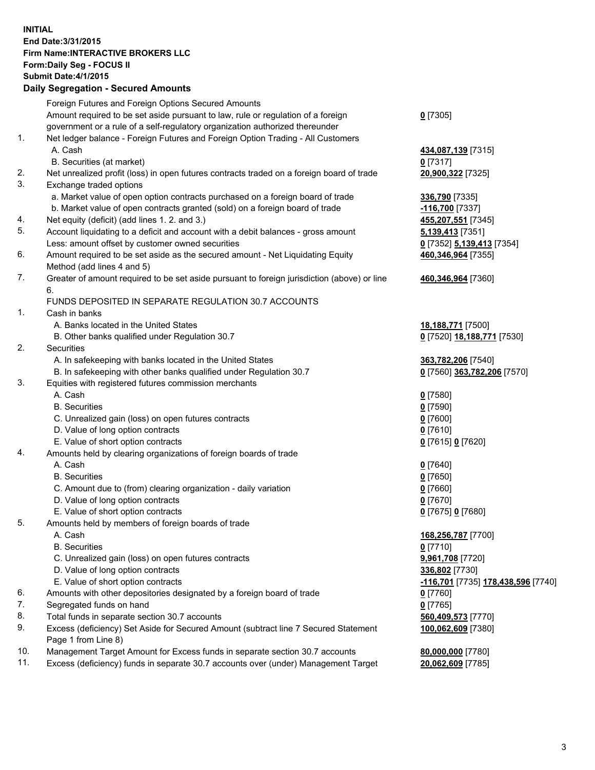## **INITIAL End Date:3/31/2015 Firm Name:INTERACTIVE BROKERS LLC Form:Daily Seg - FOCUS II Submit Date:4/1/2015 Daily Segregation - Secured Amounts**

|     | Foreign Futures and Foreign Options Secured Amounts                                                        |                                    |
|-----|------------------------------------------------------------------------------------------------------------|------------------------------------|
|     | Amount required to be set aside pursuant to law, rule or regulation of a foreign                           | $0$ [7305]                         |
|     | government or a rule of a self-regulatory organization authorized thereunder                               |                                    |
| 1.  | Net ledger balance - Foreign Futures and Foreign Option Trading - All Customers                            |                                    |
|     | A. Cash                                                                                                    | 434,087,139 [7315]                 |
|     | B. Securities (at market)                                                                                  | $0$ [7317]                         |
| 2.  | Net unrealized profit (loss) in open futures contracts traded on a foreign board of trade                  | 20,900,322 [7325]                  |
| 3.  | Exchange traded options                                                                                    |                                    |
|     | a. Market value of open option contracts purchased on a foreign board of trade                             | 336,790 [7335]                     |
|     | b. Market value of open contracts granted (sold) on a foreign board of trade                               | -116,700 [7337]                    |
| 4.  | Net equity (deficit) (add lines 1. 2. and 3.)                                                              | 455,207,551 [7345]                 |
| 5.  | Account liquidating to a deficit and account with a debit balances - gross amount                          | 5,139,413 [7351]                   |
|     | Less: amount offset by customer owned securities                                                           | 0 [7352] 5,139,413 [7354]          |
| 6.  | Amount required to be set aside as the secured amount - Net Liquidating Equity                             | 460,346,964 [7355]                 |
|     | Method (add lines 4 and 5)                                                                                 |                                    |
| 7.  | Greater of amount required to be set aside pursuant to foreign jurisdiction (above) or line                | 460,346,964 [7360]                 |
|     | 6.                                                                                                         |                                    |
|     | FUNDS DEPOSITED IN SEPARATE REGULATION 30.7 ACCOUNTS                                                       |                                    |
| 1.  | Cash in banks                                                                                              |                                    |
|     | A. Banks located in the United States                                                                      | 18,188,771 [7500]                  |
|     | B. Other banks qualified under Regulation 30.7                                                             | 0 [7520] 18,188,771 [7530]         |
| 2.  | Securities                                                                                                 |                                    |
|     | A. In safekeeping with banks located in the United States                                                  | 363,782,206 [7540]                 |
|     | B. In safekeeping with other banks qualified under Regulation 30.7                                         | 0 [7560] 363,782,206 [7570]        |
| 3.  | Equities with registered futures commission merchants                                                      |                                    |
|     | A. Cash                                                                                                    | $0$ [7580]                         |
|     | <b>B.</b> Securities                                                                                       | $0$ [7590]                         |
|     | C. Unrealized gain (loss) on open futures contracts                                                        | $0$ [7600]                         |
|     | D. Value of long option contracts                                                                          | $0$ [7610]                         |
|     | E. Value of short option contracts                                                                         | 0 [7615] 0 [7620]                  |
| 4.  | Amounts held by clearing organizations of foreign boards of trade                                          |                                    |
|     | A. Cash                                                                                                    | $0$ [7640]                         |
|     | <b>B.</b> Securities                                                                                       | $0$ [7650]                         |
|     | C. Amount due to (from) clearing organization - daily variation                                            | $0$ [7660]                         |
|     | D. Value of long option contracts                                                                          | $0$ [7670]                         |
|     | E. Value of short option contracts                                                                         | 0 [7675] 0 [7680]                  |
| 5.  | Amounts held by members of foreign boards of trade                                                         |                                    |
|     | A. Cash                                                                                                    | 168,256,787 [7700]                 |
|     | <b>B.</b> Securities                                                                                       | $0$ [7710]                         |
|     | C. Unrealized gain (loss) on open futures contracts                                                        | 9,961,708 [7720]                   |
|     | D. Value of long option contracts                                                                          | 336,802 [7730]                     |
|     | E. Value of short option contracts                                                                         | -116,701 [7735] 178,438,596 [7740] |
| 6.  | Amounts with other depositories designated by a foreign board of trade                                     | $0$ [7760]                         |
| 7.  | Segregated funds on hand                                                                                   | $0$ [7765]                         |
| 8.  | Total funds in separate section 30.7 accounts                                                              | 560,409,573 [7770]                 |
| 9.  | Excess (deficiency) Set Aside for Secured Amount (subtract line 7 Secured Statement<br>Page 1 from Line 8) | 100,062,609 [7380]                 |
| 10. | Management Target Amount for Excess funds in separate section 30.7 accounts                                | 80,000,000 [7780]                  |
| 11. | Excess (deficiency) funds in separate 30.7 accounts over (under) Management Target                         | 20,062,609 [7785]                  |
|     |                                                                                                            |                                    |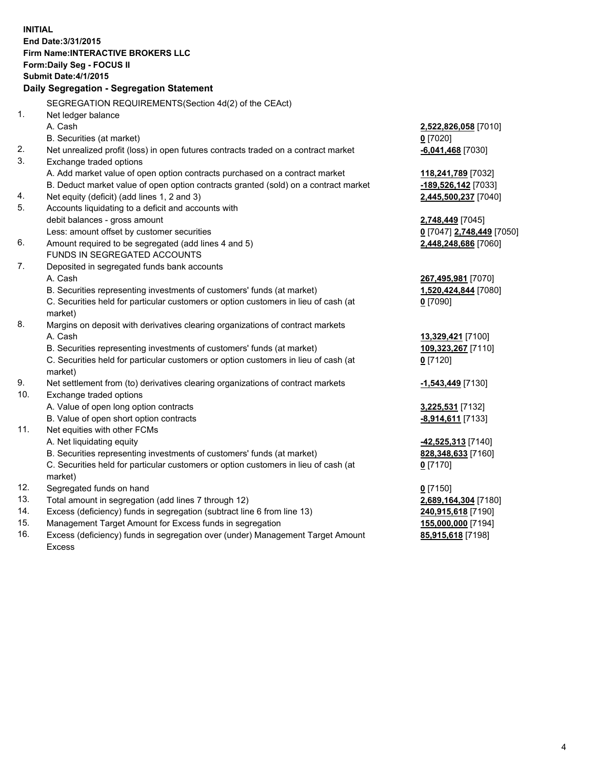**INITIAL End Date:3/31/2015 Firm Name:INTERACTIVE BROKERS LLC Form:Daily Seg - FOCUS II Submit Date:4/1/2015 Daily Segregation - Segregation Statement** SEGREGATION REQUIREMENTS(Section 4d(2) of the CEAct) 1. Net ledger balance A. Cash **2,522,826,058** [7010] B. Securities (at market) **0** [7020] 2. Net unrealized profit (loss) in open futures contracts traded on a contract market **-6,041,468** [7030] 3. Exchange traded options A. Add market value of open option contracts purchased on a contract market **118,241,789** [7032] B. Deduct market value of open option contracts granted (sold) on a contract market **-189,526,142** [7033] 4. Net equity (deficit) (add lines 1, 2 and 3) **2,445,500,237** [7040] 5. Accounts liquidating to a deficit and accounts with debit balances - gross amount **2,748,449** [7045] Less: amount offset by customer securities **0** [7047] **2,748,449** [7050] 6. Amount required to be segregated (add lines 4 and 5) **2,448,248,686** [7060] FUNDS IN SEGREGATED ACCOUNTS 7. Deposited in segregated funds bank accounts A. Cash **267,495,981** [7070] B. Securities representing investments of customers' funds (at market) **1,520,424,844** [7080] C. Securities held for particular customers or option customers in lieu of cash (at market) **0** [7090] 8. Margins on deposit with derivatives clearing organizations of contract markets A. Cash **13,329,421** [7100] B. Securities representing investments of customers' funds (at market) **109,323,267** [7110] C. Securities held for particular customers or option customers in lieu of cash (at market) **0** [7120] 9. Net settlement from (to) derivatives clearing organizations of contract markets **-1,543,449** [7130] 10. Exchange traded options A. Value of open long option contracts **3,225,531** [7132] B. Value of open short option contracts **-8,914,611** [7133] 11. Net equities with other FCMs A. Net liquidating equity **-42,525,313** [7140] B. Securities representing investments of customers' funds (at market) **828,348,633** [7160] C. Securities held for particular customers or option customers in lieu of cash (at market) **0** [7170] 12. Segregated funds on hand **0** [7150] 13. Total amount in segregation (add lines 7 through 12) **2,689,164,304** [7180] 14. Excess (deficiency) funds in segregation (subtract line 6 from line 13) **240,915,618** [7190] 15. Management Target Amount for Excess funds in segregation **155,000,000** [7194]

16. Excess (deficiency) funds in segregation over (under) Management Target Amount Excess

**85,915,618** [7198]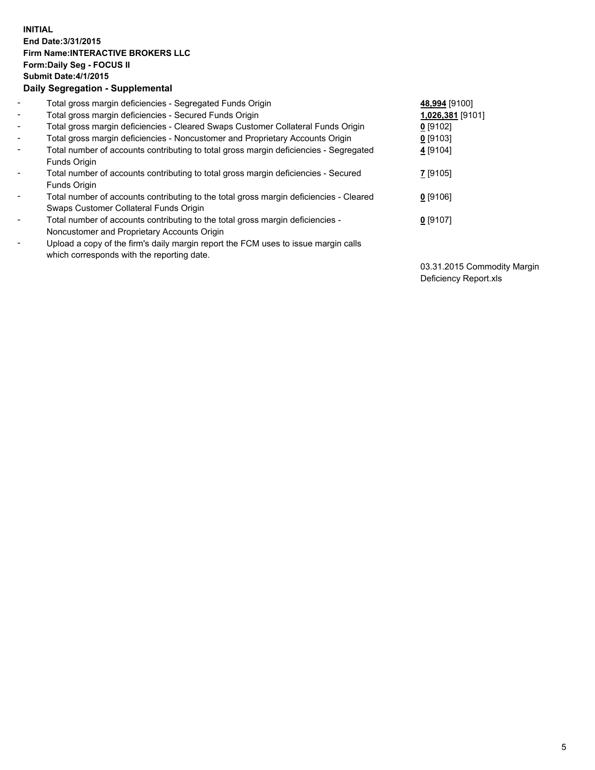## **INITIAL End Date:3/31/2015 Firm Name:INTERACTIVE BROKERS LLC Form:Daily Seg - FOCUS II Submit Date:4/1/2015 Daily Segregation - Supplemental**

| $\blacksquare$           | Total gross margin deficiencies - Segregated Funds Origin                                                                        | 48,994 [9100]    |
|--------------------------|----------------------------------------------------------------------------------------------------------------------------------|------------------|
| $\sim$                   | Total gross margin deficiencies - Secured Funds Origin                                                                           | 1,026,381 [9101] |
| $\blacksquare$           | Total gross margin deficiencies - Cleared Swaps Customer Collateral Funds Origin                                                 | $0$ [9102]       |
| $\blacksquare$           | Total gross margin deficiencies - Noncustomer and Proprietary Accounts Origin                                                    | $0$ [9103]       |
| $\blacksquare$           | Total number of accounts contributing to total gross margin deficiencies - Segregated<br>Funds Origin                            | 4 [9104]         |
| $\blacksquare$           | Total number of accounts contributing to total gross margin deficiencies - Secured<br>Funds Origin                               | 7 [9105]         |
| $\overline{\phantom{a}}$ | Total number of accounts contributing to the total gross margin deficiencies - Cleared<br>Swaps Customer Collateral Funds Origin | $0$ [9106]       |
| $\overline{\phantom{a}}$ | Total number of accounts contributing to the total gross margin deficiencies -<br>Noncustomer and Proprietary Accounts Origin    | $0$ [9107]       |
| -                        | Upload a copy of the firm's daily margin report the FCM uses to issue margin calls<br>which corresponds with the reporting date. |                  |

03.31.2015 Commodity Margin Deficiency Report.xls